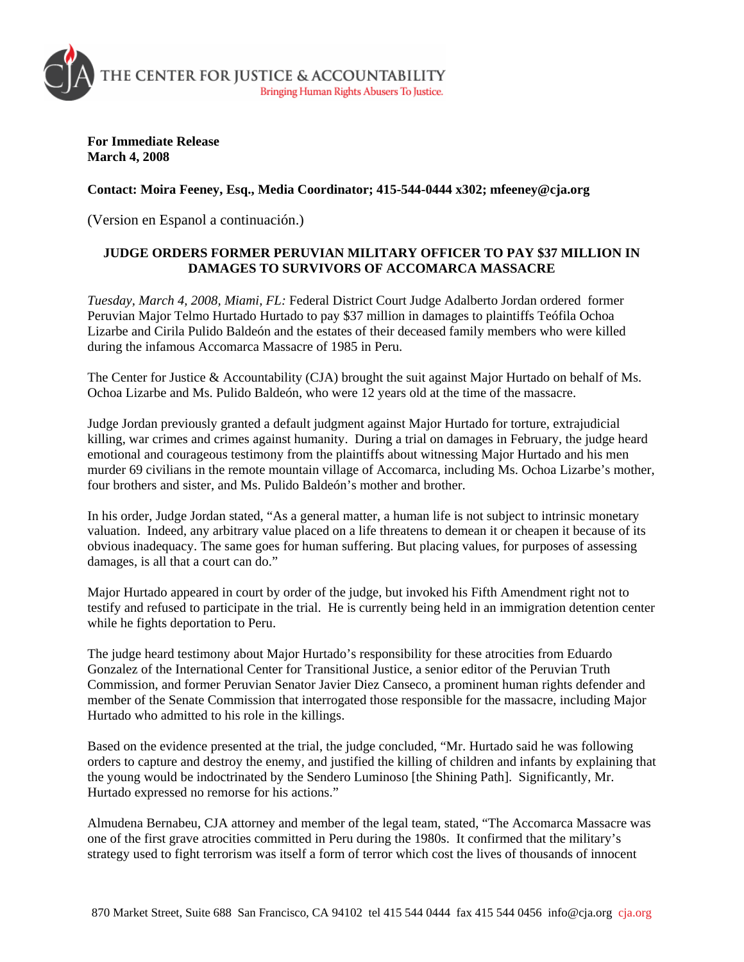

**For Immediate Release March 4, 2008** 

**Contact: Moira Feeney, Esq., Media Coordinator; 415-544-0444 x302; mfeeney@cja.org** 

(Version en Espanol a continuación.)

## **JUDGE ORDERS FORMER PERUVIAN MILITARY OFFICER TO PAY \$37 MILLION IN DAMAGES TO SURVIVORS OF ACCOMARCA MASSACRE**

*Tuesday, March 4, 2008, Miami, FL:* Federal District Court Judge Adalberto Jordan ordered former Peruvian Major Telmo Hurtado Hurtado to pay \$37 million in damages to plaintiffs Teófila Ochoa Lizarbe and Cirila Pulido Baldeón and the estates of their deceased family members who were killed during the infamous Accomarca Massacre of 1985 in Peru.

The Center for Justice & Accountability (CJA) brought the suit against Major Hurtado on behalf of Ms. Ochoa Lizarbe and Ms. Pulido Baldeón, who were 12 years old at the time of the massacre.

Judge Jordan previously granted a default judgment against Major Hurtado for torture, extrajudicial killing, war crimes and crimes against humanity. During a trial on damages in February, the judge heard emotional and courageous testimony from the plaintiffs about witnessing Major Hurtado and his men murder 69 civilians in the remote mountain village of Accomarca, including Ms. Ochoa Lizarbe's mother, four brothers and sister, and Ms. Pulido Baldeón's mother and brother.

In his order, Judge Jordan stated, "As a general matter, a human life is not subject to intrinsic monetary valuation. Indeed, any arbitrary value placed on a life threatens to demean it or cheapen it because of its obvious inadequacy. The same goes for human suffering. But placing values, for purposes of assessing damages, is all that a court can do."

Major Hurtado appeared in court by order of the judge, but invoked his Fifth Amendment right not to testify and refused to participate in the trial. He is currently being held in an immigration detention center while he fights deportation to Peru.

The judge heard testimony about Major Hurtado's responsibility for these atrocities from Eduardo Gonzalez of the International Center for Transitional Justice, a senior editor of the Peruvian Truth Commission, and former Peruvian Senator Javier Diez Canseco, a prominent human rights defender and member of the Senate Commission that interrogated those responsible for the massacre, including Major Hurtado who admitted to his role in the killings.

Based on the evidence presented at the trial, the judge concluded, "Mr. Hurtado said he was following orders to capture and destroy the enemy, and justified the killing of children and infants by explaining that the young would be indoctrinated by the Sendero Luminoso [the Shining Path]. Significantly, Mr. Hurtado expressed no remorse for his actions."

Almudena Bernabeu, CJA attorney and member of the legal team, stated, "The Accomarca Massacre was one of the first grave atrocities committed in Peru during the 1980s. It confirmed that the military's strategy used to fight terrorism was itself a form of terror which cost the lives of thousands of innocent